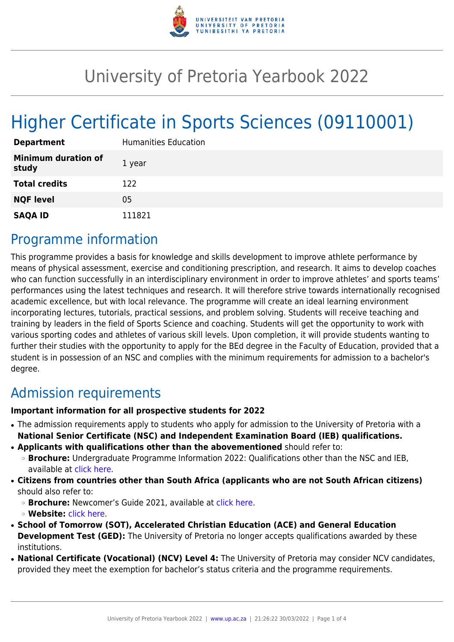

# University of Pretoria Yearbook 2022

# Higher Certificate in Sports Sciences (09110001)

| <b>Department</b>                   | <b>Humanities Education</b> |
|-------------------------------------|-----------------------------|
| <b>Minimum duration of</b><br>study | 1 year                      |
| <b>Total credits</b>                | 122                         |
| <b>NQF level</b>                    | 05                          |
| <b>SAQA ID</b>                      | 111821                      |

## Programme information

This programme provides a basis for knowledge and skills development to improve athlete performance by means of physical assessment, exercise and conditioning prescription, and research. It aims to develop coaches who can function successfully in an interdisciplinary environment in order to improve athletes' and sports teams' performances using the latest techniques and research. It will therefore strive towards internationally recognised academic excellence, but with local relevance. The programme will create an ideal learning environment incorporating lectures, tutorials, practical sessions, and problem solving. Students will receive teaching and training by leaders in the field of Sports Science and coaching. Students will get the opportunity to work with various sporting codes and athletes of various skill levels. Upon completion, it will provide students wanting to further their studies with the opportunity to apply for the BEd degree in the Faculty of Education, provided that a student is in possession of an NSC and complies with the minimum requirements for admission to a bachelor's degree.

## Admission requirements

#### **Important information for all prospective students for 2022**

- The admission requirements apply to students who apply for admission to the University of Pretoria with a **National Senior Certificate (NSC) and Independent Examination Board (IEB) qualifications.**
- **Applicants with qualifications other than the abovementioned** should refer to:
	- ❍ **Brochure:** Undergraduate Programme Information 2022: Qualifications other than the NSC and IEB, available at [click here.](https://www.up.ac.za/students/article/2749263/admission-information)
- **Citizens from countries other than South Africa (applicants who are not South African citizens)** should also refer to:
	- ❍ **Brochure:** Newcomer's Guide 2021, available at [click here.](https://www.up.ac.za/students/article/2749263/admission-information)
	- ❍ **Website:** [click here](http://www.up.ac.za/international-cooperation-division).
- **School of Tomorrow (SOT), Accelerated Christian Education (ACE) and General Education Development Test (GED):** The University of Pretoria no longer accepts qualifications awarded by these institutions.
- **National Certificate (Vocational) (NCV) Level 4:** The University of Pretoria may consider NCV candidates, provided they meet the exemption for bachelor's status criteria and the programme requirements.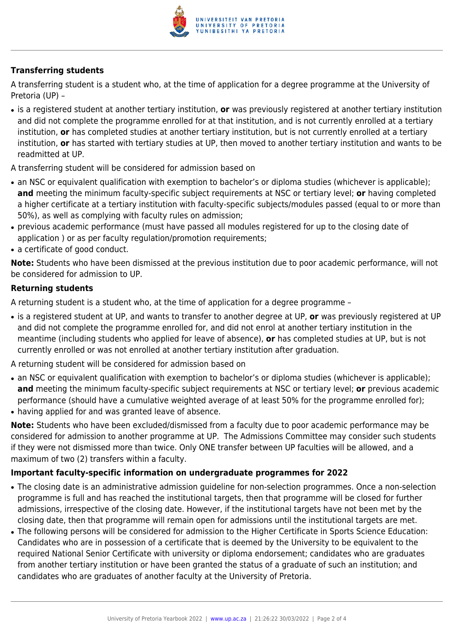

#### **Transferring students**

A transferring student is a student who, at the time of application for a degree programme at the University of Pretoria (UP) –

● is a registered student at another tertiary institution, **or** was previously registered at another tertiary institution and did not complete the programme enrolled for at that institution, and is not currently enrolled at a tertiary institution, **or** has completed studies at another tertiary institution, but is not currently enrolled at a tertiary institution, **or** has started with tertiary studies at UP, then moved to another tertiary institution and wants to be readmitted at UP.

A transferring student will be considered for admission based on

- an NSC or equivalent qualification with exemption to bachelor's or diploma studies (whichever is applicable); **and** meeting the minimum faculty-specific subject requirements at NSC or tertiary level; **or** having completed a higher certificate at a tertiary institution with faculty-specific subjects/modules passed (equal to or more than 50%), as well as complying with faculty rules on admission;
- previous academic performance (must have passed all modules registered for up to the closing date of application ) or as per faculty regulation/promotion requirements;
- a certificate of good conduct.

**Note:** Students who have been dismissed at the previous institution due to poor academic performance, will not be considered for admission to UP.

#### **Returning students**

A returning student is a student who, at the time of application for a degree programme –

● is a registered student at UP, and wants to transfer to another degree at UP, **or** was previously registered at UP and did not complete the programme enrolled for, and did not enrol at another tertiary institution in the meantime (including students who applied for leave of absence), **or** has completed studies at UP, but is not currently enrolled or was not enrolled at another tertiary institution after graduation.

A returning student will be considered for admission based on

- an NSC or equivalent qualification with exemption to bachelor's or diploma studies (whichever is applicable); **and** meeting the minimum faculty-specific subject requirements at NSC or tertiary level; **or** previous academic performance (should have a cumulative weighted average of at least 50% for the programme enrolled for);
- having applied for and was granted leave of absence.

**Note:** Students who have been excluded/dismissed from a faculty due to poor academic performance may be considered for admission to another programme at UP. The Admissions Committee may consider such students if they were not dismissed more than twice. Only ONE transfer between UP faculties will be allowed, and a maximum of two (2) transfers within a faculty.

#### **Important faculty-specific information on undergraduate programmes for 2022**

- The closing date is an administrative admission guideline for non-selection programmes. Once a non-selection programme is full and has reached the institutional targets, then that programme will be closed for further admissions, irrespective of the closing date. However, if the institutional targets have not been met by the closing date, then that programme will remain open for admissions until the institutional targets are met.
- The following persons will be considered for admission to the Higher Certificate in Sports Science Education: Candidates who are in possession of a certificate that is deemed by the University to be equivalent to the required National Senior Certificate with university or diploma endorsement; candidates who are graduates from another tertiary institution or have been granted the status of a graduate of such an institution; and candidates who are graduates of another faculty at the University of Pretoria.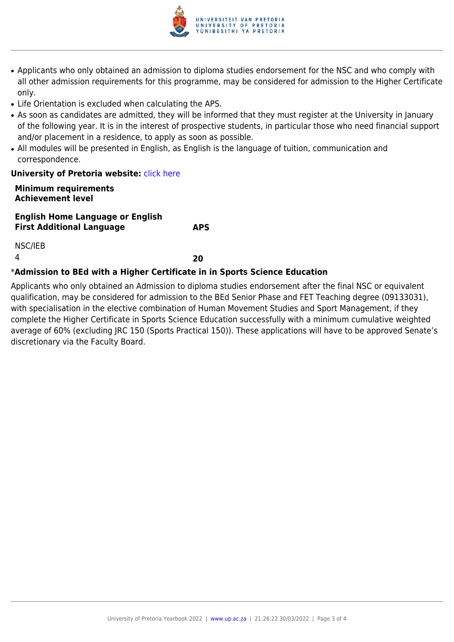

- Applicants who only obtained an admission to diploma studies endorsement for the NSC and who comply with all other admission requirements for this programme, may be considered for admission to the Higher Certificate only.
- Life Orientation is excluded when calculating the APS.
- As soon as candidates are admitted, they will be informed that they must register at the University in January of the following year. It is in the interest of prospective students, in particular those who need financial support and/or placement in a residence, to apply as soon as possible.
- All modules will be presented in English, as English is the language of tuition, communication and correspondence.

#### **University of Pretoria website: [click here](http://Www.up.ac.za/education)**

#### **Minimum requirements Achievement level**

**English Home Language or English First Additional Language APS**

NSC/IEB

4 **20**

#### \***Admission to BEd with a Higher Certificate in in Sports Science Education**

Applicants who only obtained an Admission to diploma studies endorsement after the final NSC or equivalent qualification, may be considered for admission to the BEd Senior Phase and FET Teaching degree (09133031), with specialisation in the elective combination of Human Movement Studies and Sport Management, if they complete the Higher Certificate in Sports Science Education successfully with a minimum cumulative weighted average of 60% (excluding JRC 150 (Sports Practical 150)). These applications will have to be approved Senate's discretionary via the Faculty Board.